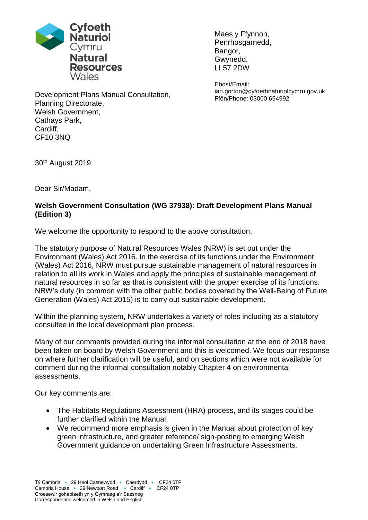

Maes y Ffynnon, Penrhosgarnedd, Bangor, Gwynedd, LL57 2DW

Ebost/Email: ian.gorton@cyfoethnaturiolcymru.gov.uk Ffôn/Phone: 03000 654992

Development Plans Manual Consultation, Planning Directorate, Welsh Government, Cathays Park, Cardiff, CF10 3NQ

30th August 2019

Dear Sir/Madam,

# **Welsh Government Consultation (WG 37938): Draft Development Plans Manual (Edition 3)**

We welcome the opportunity to respond to the above consultation.

The statutory purpose of Natural Resources Wales (NRW) is set out under the Environment (Wales) Act 2016. In the exercise of its functions under the Environment (Wales) Act 2016, NRW must pursue sustainable management of natural resources in relation to all its work in Wales and apply the principles of sustainable management of natural resources in so far as that is consistent with the proper exercise of its functions. NRW's duty (in common with the other public bodies covered by the Well-Being of Future Generation (Wales) Act 2015) is to carry out sustainable development.

Within the planning system, NRW undertakes a variety of roles including as a statutory consultee in the local development plan process.

Many of our comments provided during the informal consultation at the end of 2018 have been taken on board by Welsh Government and this is welcomed. We focus our response on where further clarification will be useful, and on sections which were not available for comment during the informal consultation notably Chapter 4 on environmental assessments.

Our key comments are:

- The Habitats Regulations Assessment (HRA) process, and its stages could be further clarified within the Manual;
- We recommend more emphasis is given in the Manual about protection of key green infrastructure, and greater reference/ sign-posting to emerging Welsh Government guidance on undertaking Green Infrastructure Assessments.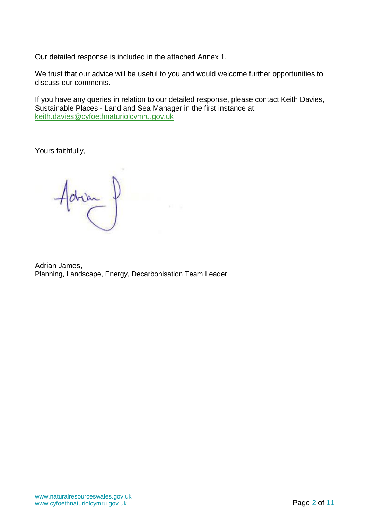Our detailed response is included in the attached Annex 1.

We trust that our advice will be useful to you and would welcome further opportunities to discuss our comments.

If you have any queries in relation to our detailed response, please contact Keith Davies, Sustainable Places - Land and Sea Manager in the first instance at: [keith.davies@cyfoethnaturiolcymru.gov.uk](mailto:keith.davies@cyfoethnaturiolcymru.gov.uk)

Yours faithfully,

 $Adrian$ 

Adrian James**,** Planning, Landscape, Energy, Decarbonisation Team Leader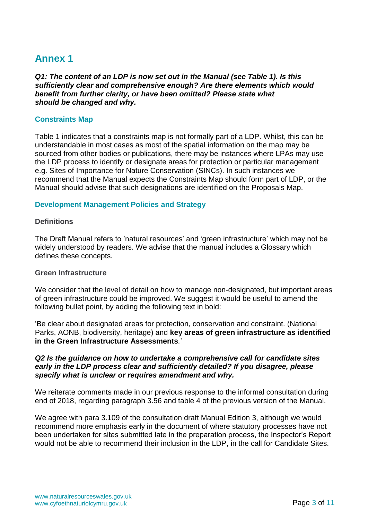# **Annex 1**

*Q1: The content of an LDP is now set out in the Manual (see Table 1). Is this sufficiently clear and comprehensive enough? Are there elements which would benefit from further clarity, or have been omitted? Please state what should be changed and why.*

# **Constraints Map**

Table 1 indicates that a constraints map is not formally part of a LDP. Whilst, this can be understandable in most cases as most of the spatial information on the map may be sourced from other bodies or publications, there may be instances where LPAs may use the LDP process to identify or designate areas for protection or particular management e.g. Sites of Importance for Nature Conservation (SINCs). In such instances we recommend that the Manual expects the Constraints Map should form part of LDP, or the Manual should advise that such designations are identified on the Proposals Map.

## **Development Management Policies and Strategy**

#### **Definitions**

The Draft Manual refers to 'natural resources' and 'green infrastructure' which may not be widely understood by readers. We advise that the manual includes a Glossary which defines these concepts.

#### **Green Infrastructure**

We consider that the level of detail on how to manage non-designated, but important areas of green infrastructure could be improved. We suggest it would be useful to amend the following bullet point, by adding the following text in bold:

'Be clear about designated areas for protection, conservation and constraint. (National Parks, AONB, biodiversity, heritage) and **key areas of green infrastructure as identified in the Green Infrastructure Assessments***.*'

## *Q2 Is the guidance on how to undertake a comprehensive call for candidate sites early in the LDP process clear and sufficiently detailed? If you disagree, please specify what is unclear or requires amendment and why.*

We reiterate comments made in our previous response to the informal consultation during end of 2018, regarding paragraph 3.56 and table 4 of the previous version of the Manual.

We agree with para 3.109 of the consultation draft Manual Edition 3, although we would recommend more emphasis early in the document of where statutory processes have not been undertaken for sites submitted late in the preparation process, the Inspector's Report would not be able to recommend their inclusion in the LDP, in the call for Candidate Sites.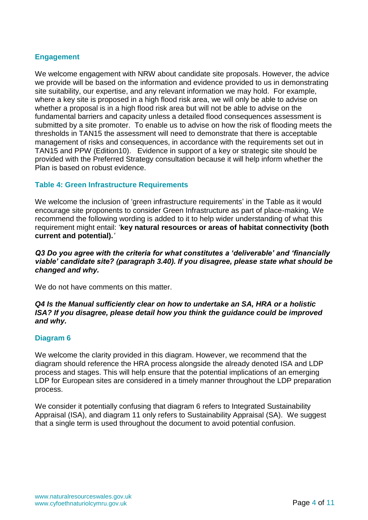## **Engagement**

We welcome engagement with NRW about candidate site proposals. However, the advice we provide will be based on the information and evidence provided to us in demonstrating site suitability, our expertise, and any relevant information we may hold. For example, where a key site is proposed in a high flood risk area, we will only be able to advise on whether a proposal is in a high flood risk area but will not be able to advise on the fundamental barriers and capacity unless a detailed flood consequences assessment is submitted by a site promoter. To enable us to advise on how the risk of flooding meets the thresholds in TAN15 the assessment will need to demonstrate that there is acceptable management of risks and consequences, in accordance with the requirements set out in TAN15 and PPW (Edition10). Evidence in support of a key or strategic site should be provided with the Preferred Strategy consultation because it will help inform whether the Plan is based on robust evidence.

## **Table 4: Green Infrastructure Requirements**

We welcome the inclusion of 'green infrastructure requirements' in the Table as it would encourage site proponents to consider Green Infrastructure as part of place-making. We recommend the following wording is added to it to help wider understanding of what this requirement might entail: '**key natural resources or areas of habitat connectivity (both current and potential).***'*

# *Q3 Do you agree with the criteria for what constitutes a 'deliverable' and 'financially viable' candidate site? (paragraph 3.40). If you disagree, please state what should be changed and why.*

We do not have comments on this matter.

# *Q4 Is the Manual sufficiently clear on how to undertake an SA, HRA or a holistic ISA? If you disagree, please detail how you think the guidance could be improved and why.*

#### **Diagram 6**

We welcome the clarity provided in this diagram. However, we recommend that the diagram should reference the HRA process alongside the already denoted ISA and LDP process and stages. This will help ensure that the potential implications of an emerging LDP for European sites are considered in a timely manner throughout the LDP preparation process.

We consider it potentially confusing that diagram 6 refers to Integrated Sustainability Appraisal (ISA), and diagram 11 only refers to Sustainability Appraisal (SA). We suggest that a single term is used throughout the document to avoid potential confusion.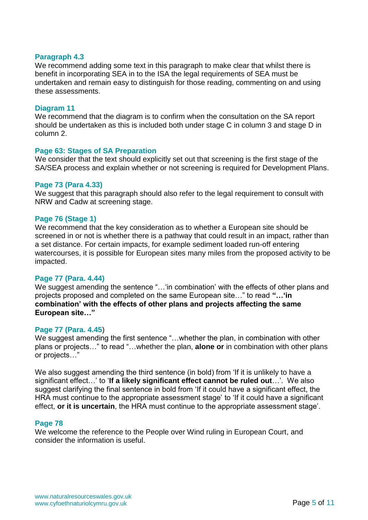#### **Paragraph 4.3**

We recommend adding some text in this paragraph to make clear that whilst there is benefit in incorporating SEA in to the ISA the legal requirements of SEA must be undertaken and remain easy to distinguish for those reading, commenting on and using these assessments.

#### **Diagram 11**

We recommend that the diagram is to confirm when the consultation on the SA report should be undertaken as this is included both under stage C in column 3 and stage D in column 2.

## **Page 63: Stages of SA Preparation**

We consider that the text should explicitly set out that screening is the first stage of the SA/SEA process and explain whether or not screening is required for Development Plans.

#### **Page 73 (Para 4.33)**

We suggest that this paragraph should also refer to the legal requirement to consult with NRW and Cadw at screening stage.

# **Page 76 (Stage 1)**

We recommend that the key consideration as to whether a European site should be screened in or not is whether there is a pathway that could result in an impact, rather than a set distance. For certain impacts, for example sediment loaded run-off entering watercourses, it is possible for European sites many miles from the proposed activity to be impacted.

# **Page 77 (Para. 4.44)**

We suggest amending the sentence "... 'in combination' with the effects of other plans and projects proposed and completed on the same European site…" to read **"…'in combination' with the effects of other plans and projects affecting the same European site…"**

#### **Page 77 (Para. 4.45**)

We suggest amending the first sentence "...whether the plan, in combination with other plans or projects…" to read "…whether the plan, **alone or** in combination with other plans or projects…"

We also suggest amending the third sentence (in bold) from 'If it is unlikely to have a significant effect…' to '**If a likely significant effect cannot be ruled out**…'. We also suggest clarifying the final sentence in bold from 'If it could have a significant effect, the HRA must continue to the appropriate assessment stage' to 'If it could have a significant effect, **or it is uncertain**, the HRA must continue to the appropriate assessment stage'.

#### **Page 78**

We welcome the reference to the People over Wind ruling in European Court, and consider the information is useful.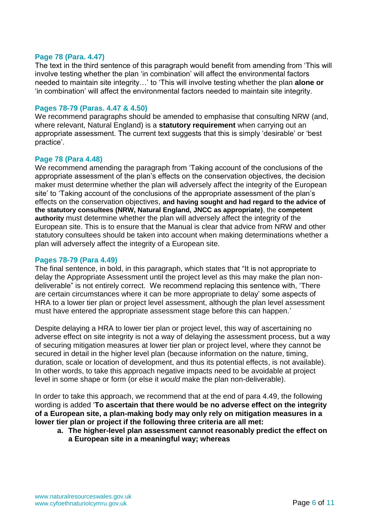## **Page 78 (Para. 4.47)**

The text in the third sentence of this paragraph would benefit from amending from 'This will involve testing whether the plan 'in combination' will affect the environmental factors needed to maintain site integrity…' to 'This will involve testing whether the plan **alone or** 'in combination' will affect the environmental factors needed to maintain site integrity.

## **Pages 78-79 (Paras. 4.47 & 4.50)**

We recommend paragraphs should be amended to emphasise that consulting NRW (and, where relevant, Natural England) is a **statutory requirement** when carrying out an appropriate assessment. The current text suggests that this is simply 'desirable' or 'best practice'.

# **Page 78 (Para 4.48)**

We recommend amending the paragraph from 'Taking account of the conclusions of the appropriate assessment of the plan's effects on the conservation objectives, the decision maker must determine whether the plan will adversely affect the integrity of the European site' to 'Taking account of the conclusions of the appropriate assessment of the plan's effects on the conservation objectives, **and having sought and had regard to the advice of the statutory consultees (NRW, Natural England, JNCC as appropriate)**, the **competent authority** must determine whether the plan will adversely affect the integrity of the European site. This is to ensure that the Manual is clear that advice from NRW and other statutory consultees should be taken into account when making determinations whether a plan will adversely affect the integrity of a European site.

## **Pages 78-79 (Para 4.49)**

The final sentence, in bold, in this paragraph, which states that "It is not appropriate to delay the Appropriate Assessment until the project level as this may make the plan nondeliverable" is not entirely correct. We recommend replacing this sentence with, 'There are certain circumstances where it can be more appropriate to delay' some aspects of HRA to a lower tier plan or project level assessment, although the plan level assessment must have entered the appropriate assessment stage before this can happen.'

Despite delaying a HRA to lower tier plan or project level, this way of ascertaining no adverse effect on site integrity is not a way of delaying the assessment process, but a way of securing mitigation measures at lower tier plan or project level, where they cannot be secured in detail in the higher level plan (because information on the nature, timing, duration, scale or location of development, and thus its potential effects, is not available). In other words, to take this approach negative impacts need to be avoidable at project level in some shape or form (or else it *would* make the plan non-deliverable).

In order to take this approach, we recommend that at the end of para 4.49, the following wording is added '**To ascertain that there would be no adverse effect on the integrity of a European site, a plan-making body may only rely on mitigation measures in a lower tier plan or project if the following three criteria are all met:**

**a. The higher-level plan assessment cannot reasonably predict the effect on a European site in a meaningful way; whereas**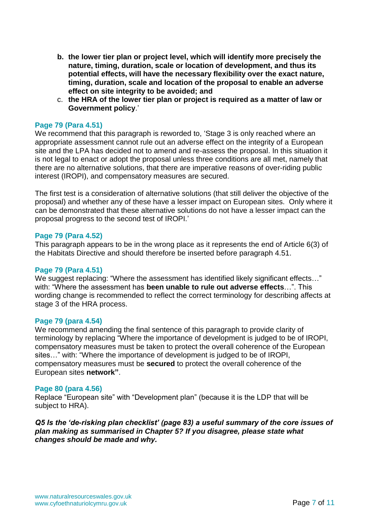- **b. the lower tier plan or project level, which will identify more precisely the nature, timing, duration, scale or location of development, and thus its potential effects, will have the necessary flexibility over the exact nature, timing, duration, scale and location of the proposal to enable an adverse effect on site integrity to be avoided; and**
- c. **the HRA of the lower tier plan or project is required as a matter of law or Government policy**.'

# **Page 79 (Para 4.51)**

We recommend that this paragraph is reworded to, 'Stage 3 is only reached where an appropriate assessment cannot rule out an adverse effect on the integrity of a European site and the LPA has decided not to amend and re-assess the proposal. In this situation it is not legal to enact or adopt the proposal unless three conditions are all met, namely that there are no alternative solutions, that there are imperative reasons of over-riding public interest (IROPI), and compensatory measures are secured.

The first test is a consideration of alternative solutions (that still deliver the objective of the proposal) and whether any of these have a lesser impact on European sites. Only where it can be demonstrated that these alternative solutions do not have a lesser impact can the proposal progress to the second test of IROPI.'

#### **Page 79 (Para 4.52)**

This paragraph appears to be in the wrong place as it represents the end of Article 6(3) of the Habitats Directive and should therefore be inserted before paragraph 4.51.

#### **Page 79 (Para 4.51)**

We suggest replacing: "Where the assessment has identified likely significant effects…" with: "Where the assessment has **been unable to rule out adverse effects**…". This wording change is recommended to reflect the correct terminology for describing affects at stage 3 of the HRA process.

#### **Page 79 (para 4.54)**

We recommend amending the final sentence of this paragraph to provide clarity of terminology by replacing "Where the importance of development is judged to be of IROPI, compensatory measures must be taken to protect the overall coherence of the European sites…" with: "Where the importance of development is judged to be of IROPI, compensatory measures must be **secured** to protect the overall coherence of the European sites **network"**.

#### **Page 80 (para 4.56)**

Replace "European site" with "Development plan" (because it is the LDP that will be subject to HRA).

*Q5 Is the 'de-risking plan checklist' (page 83) a useful summary of the core issues of plan making as summarised in Chapter 5? If you disagree, please state what changes should be made and why.*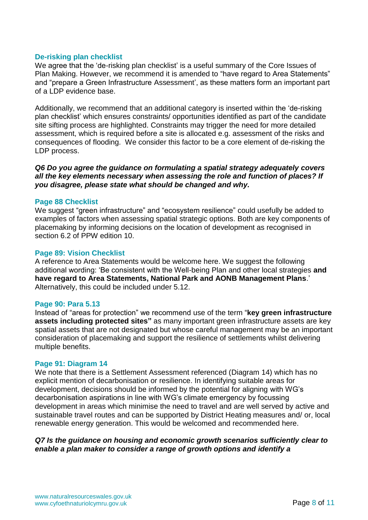## **De-risking plan checklist**

We agree that the 'de-risking plan checklist' is a useful summary of the Core Issues of Plan Making. However, we recommend it is amended to "have regard to Area Statements" and "prepare a Green Infrastructure Assessment', as these matters form an important part of a LDP evidence base.

Additionally, we recommend that an additional category is inserted within the 'de-risking plan checklist' which ensures constraints/ opportunities identified as part of the candidate site sifting process are highlighted. Constraints may trigger the need for more detailed assessment, which is required before a site is allocated e.g. assessment of the risks and consequences of flooding. We consider this factor to be a core element of de-risking the LDP process.

## *Q6 Do you agree the guidance on formulating a spatial strategy adequately covers all the key elements necessary when assessing the role and function of places? If you disagree, please state what should be changed and why.*

## **Page 88 Checklist**

We suggest "green infrastructure" and "ecosystem resilience" could usefully be added to examples of factors when assessing spatial strategic options. Both are key components of placemaking by informing decisions on the location of development as recognised in section 6.2 of PPW edition 10.

#### **Page 89: Vision Checklist**

A reference to Area Statements would be welcome here. We suggest the following additional wording: 'Be consistent with the Well-being Plan and other local strategies **and have regard to Area Statements, National Park and AONB Management Plans**.' Alternatively, this could be included under 5.12.

#### **Page 90: Para 5.13**

Instead of "areas for protection" we recommend use of the term "**key green infrastructure assets including protected sites"** as many important green infrastructure assets are key spatial assets that are not designated but whose careful management may be an important consideration of placemaking and support the resilience of settlements whilst delivering multiple benefits.

#### **Page 91: Diagram 14**

We note that there is a Settlement Assessment referenced (Diagram 14) which has no explicit mention of decarbonisation or resilience. In identifying suitable areas for development, decisions should be informed by the potential for aligning with WG's decarbonisation aspirations in line with WG's climate emergency by focussing development in areas which minimise the need to travel and are well served by active and sustainable travel routes and can be supported by District Heating measures and/ or, local renewable energy generation. This would be welcomed and recommended here.

# *Q7 Is the guidance on housing and economic growth scenarios sufficiently clear to enable a plan maker to consider a range of growth options and identify a*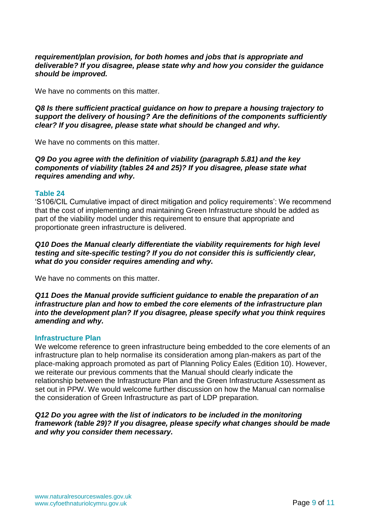## *requirement/plan provision, for both homes and jobs that is appropriate and deliverable? If you disagree, please state why and how you consider the guidance should be improved.*

We have no comments on this matter.

*Q8 Is there sufficient practical guidance on how to prepare a housing trajectory to support the delivery of housing? Are the definitions of the components sufficiently clear? If you disagree, please state what should be changed and why.*

We have no comments on this matter.

*Q9 Do you agree with the definition of viability (paragraph 5.81) and the key components of viability (tables 24 and 25)? If you disagree, please state what requires amending and why.*

## **Table 24**

'S106/CIL Cumulative impact of direct mitigation and policy requirements': We recommend that the cost of implementing and maintaining Green Infrastructure should be added as part of the viability model under this requirement to ensure that appropriate and proportionate green infrastructure is delivered.

# *Q10 Does the Manual clearly differentiate the viability requirements for high level testing and site-specific testing? If you do not consider this is sufficiently clear, what do you consider requires amending and why.*

We have no comments on this matter.

## *Q11 Does the Manual provide sufficient guidance to enable the preparation of an infrastructure plan and how to embed the core elements of the infrastructure plan into the development plan? If you disagree, please specify what you think requires amending and why.*

#### **Infrastructure Plan**

We welcome reference to green infrastructure being embedded to the core elements of an infrastructure plan to help normalise its consideration among plan-makers as part of the place-making approach promoted as part of Planning Policy Eales (Edition 10). However, we reiterate our previous comments that the Manual should clearly indicate the relationship between the Infrastructure Plan and the Green Infrastructure Assessment as set out in PPW. We would welcome further discussion on how the Manual can normalise the consideration of Green Infrastructure as part of LDP preparation.

# *Q12 Do you agree with the list of indicators to be included in the monitoring framework (table 29)? If you disagree, please specify what changes should be made and why you consider them necessary.*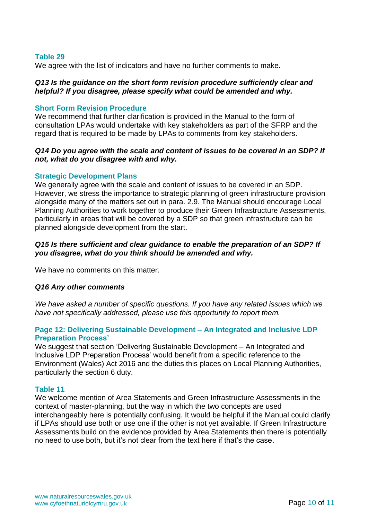## **Table 29**

We agree with the list of indicators and have no further comments to make.

## *Q13 Is the guidance on the short form revision procedure sufficiently clear and helpful? If you disagree, please specify what could be amended and why.*

## **Short Form Revision Procedure**

We recommend that further clarification is provided in the Manual to the form of consultation LPAs would undertake with key stakeholders as part of the SFRP and the regard that is required to be made by LPAs to comments from key stakeholders.

## *Q14 Do you agree with the scale and content of issues to be covered in an SDP? If not, what do you disagree with and why.*

## **Strategic Development Plans**

We generally agree with the scale and content of issues to be covered in an SDP. However, we stress the importance to strategic planning of green infrastructure provision alongside many of the matters set out in para. 2.9. The Manual should encourage Local Planning Authorities to work together to produce their Green Infrastructure Assessments, particularly in areas that will be covered by a SDP so that green infrastructure can be planned alongside development from the start.

# *Q15 Is there sufficient and clear guidance to enable the preparation of an SDP? If you disagree, what do you think should be amended and why.*

We have no comments on this matter.

#### *Q16 Any other comments*

*We have asked a number of specific questions. If you have any related issues which we have not specifically addressed, please use this opportunity to report them.*

# **Page 12: Delivering Sustainable Development – An Integrated and Inclusive LDP Preparation Process'**

We suggest that section 'Delivering Sustainable Development – An Integrated and Inclusive LDP Preparation Process' would benefit from a specific reference to the Environment (Wales) Act 2016 and the duties this places on Local Planning Authorities, particularly the section 6 duty.

#### **Table 11**

We welcome mention of Area Statements and Green Infrastructure Assessments in the context of master-planning, but the way in which the two concepts are used interchangeably here is potentially confusing. It would be helpful if the Manual could clarify if LPAs should use both or use one if the other is not yet available. If Green Infrastructure Assessments build on the evidence provided by Area Statements then there is potentially no need to use both, but it's not clear from the text here if that's the case.